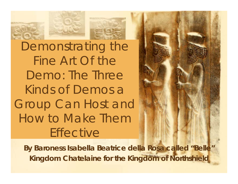

Demonstrating the Fine Art Of the Demo: The Three Kinds of Demos a Group Can Host and How to Make Them **Effective** 

**By Baroness Isabella Beatrice della Rosa called "Belle" Kingdom Chatelaine for the Kingdom of Northshield**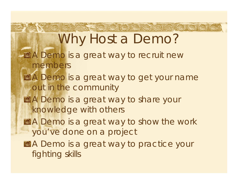**THERE EAS NOT DRE CAS TO HOT LAS SAL S** Why Host a Demo? **图A Demo is a great way to recruit new** members **图A Demo is a great way to get your name** out in the community 图A Demo is a great way to share your knowledge with others **A** Demo is a great way to show the work you've done on a project **图 A Demo is a great way to practice your** fighting skills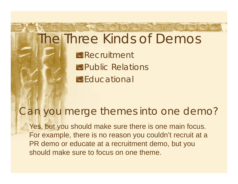## The Three Kinds of Demos

පුර්ෂි සර්ම සර්ම සිරිසි සිරිස සිරිස සිරිස

**图Recruitment** Public Relations 图**Educational** 

#### Can you merge themes into one demo?

Yes, but you should make sure there is one main focus. For example, there is no reason you couldn't recruit at a PR demo or educate at a recruitment demo, but you should make sure to focus on one theme.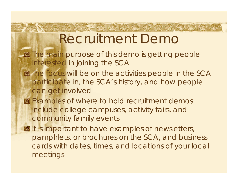## Recruitment Demo

tot tot tot set tot to tot

- The main purpose of this demo is getting people interested in joining the SCA
- The focus will be on the activities people in the SCA participate in, the SCA's history, and how people can get involved
- **Examples of where to hold recruitment demos** include college campuses, activity fairs, and community family events
- It is important to have examples of newsletters, pamphlets, or brochures on the SCA, and business cards with dates, times, and locations of your local meetings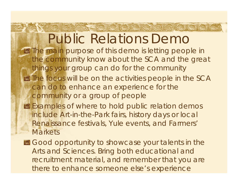Public Relations Demo The main purpose of this demo is letting people in the community know about the SCA and the great things your group can do for the community **EX The focus will be on the activities people in the SCA** can do to enhance an experience for the community or a group of people

NOR GOR GOE NOT NO

- **Examples of where to hold public relation demos** include Art-in-the-Park fairs, history days or local Renaissance festivals, Yule events, and Farmers' **Markets**
- Good opportunity to showcase your talents in the Arts and Sciences. Bring both educational and recruitment material, and remember that you are there to enhance someone else's experience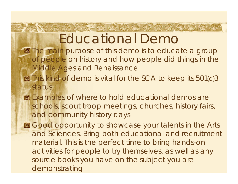## Educational Demo

**A POR MOR AOR COR NO** 

- The main purpose of this demo is to educate a group of people on history and how people did things in the Middle Ages and Renaissance
- This kind of demo is vital for the SCA to keep its 501(c)3 status
- **Examples of where to hold educational demos are** schools, scout troop meetings, churches, history fairs, and community history days
- **B** Good opportunity to showcase your talents in the Arts and Sciences. Bring both educational and recruitment material. This is the perfect time to bring hands-on activities for people to try themselves, as well as any source books you have on the subject you are demonstrating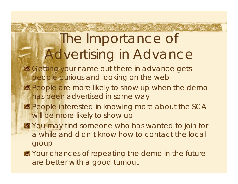# The Importance of Advertising in Advance

abe act abe act act not don

- **B** Getting your name out there in advance gets people curious and looking on the web
- 图 People are more likely to show up when the demo has been advertised in some way
- 图 People interested in knowing more about the SCA will be more likely to show up
- You may find someone who has wanted to join for a while and didn't know how to contact the local group
- Your chances of repeating the demo in the future are better with a good turnout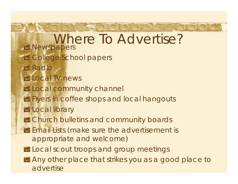Lige set set set set to det Where To Advertise?**Newspapers 图 College School papers** Radio 图 Local TV news **图 Local community channel B** Flyers in coffee shops and local hangouts **图Local library B** Church bulletins and community boards **Email Lists (make sure the advertisement is** appropriate and welcome) Local scout troops and group meetings Any other place that strikes you as a good place to advertise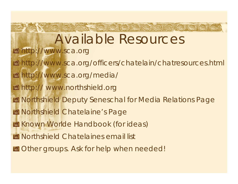### Send and the time and and the time and the fight fight and the Available Resources **图 http://www.sca.org** http://www.sca.org/officers/chatelain/chatresources.html http://www.sca.org/media/ http:// www.northshield.org Northshield Deputy Seneschal for Media Relations Page **Morthshield Chatelaine's Page 图 Known Worlde Handbook (for ideas) 图 Northshield Chatelaines email list B** Other groups. Ask for help when needed!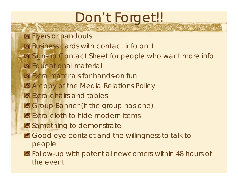## Don't Forget!!

- **Flyers or handouts**
- Business cards with contact info on it
- Sign-up Contact Sheet for people who want more info
- **图 Educational material**
- 图 Extra materials for hands-on fun
- **BE** A copy of the Media Relations Policy
- **图 Extra chairs and tables**
- Group Banner (if the group has one)
- **图 Extra cloth to hide modern items**
- **Something to demonstrate**
- Good eye contact and the willingness to talk to people
- Follow-up with potential newcomers within 48 hours of the event